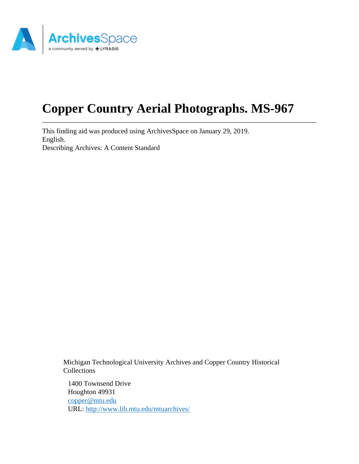

# **Copper Country Aerial Photographs. MS-967**

This finding aid was produced using ArchivesSpace on January 29, 2019. English. Describing Archives: A Content Standard

> Michigan Technological University Archives and Copper Country Historical Collections

1400 Townsend Drive Houghton 49931 [copper@mtu.edu](mailto:copper@mtu.edu) URL:<http://www.lib.mtu.edu/mtuarchives/>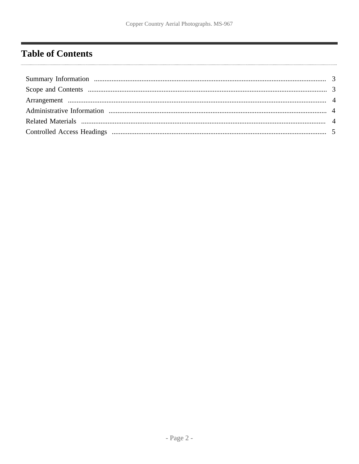# <span id="page-1-0"></span>**Table of Contents**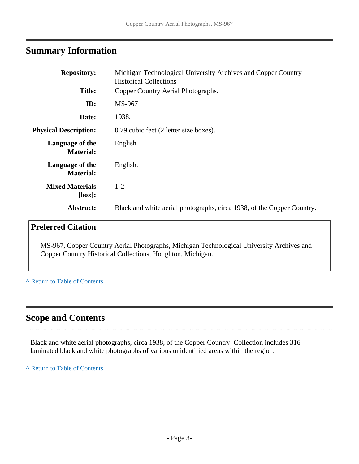# <span id="page-2-0"></span>**Summary Information**

| <b>Repository:</b>                  | Michigan Technological University Archives and Copper Country<br><b>Historical Collections</b> |
|-------------------------------------|------------------------------------------------------------------------------------------------|
| <b>Title:</b>                       | Copper Country Aerial Photographs.                                                             |
| ID:                                 | MS-967                                                                                         |
| Date:                               | 1938.                                                                                          |
| <b>Physical Description:</b>        | 0.79 cubic feet (2 letter size boxes).                                                         |
| Language of the<br><b>Material:</b> | English                                                                                        |
| Language of the<br><b>Material:</b> | English.                                                                                       |
| <b>Mixed Materials</b><br>[box]:    | $1 - 2$                                                                                        |
| Abstract:                           | Black and white aerial photographs, circa 1938, of the Copper Country.                         |
|                                     |                                                                                                |

# **Preferred Citation**

MS-967, Copper Country Aerial Photographs, Michigan Technological University Archives and Copper Country Historical Collections, Houghton, Michigan.

#### **^** [Return to Table of Contents](#page-1-0)

# <span id="page-2-1"></span>**Scope and Contents**

. . . . . . . . . . .

Black and white aerial photographs, circa 1938, of the Copper Country. Collection includes 316 laminated black and white photographs of various unidentified areas within the region.

**^** [Return to Table of Contents](#page-1-0)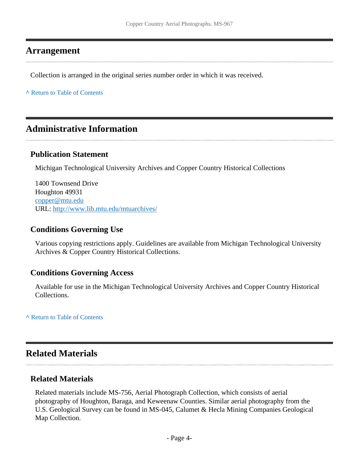### <span id="page-3-0"></span>**Arrangement**

Collection is arranged in the original series number order in which it was received.

**^** [Return to Table of Contents](#page-1-0)

### <span id="page-3-1"></span>**Administrative Information**

#### **Publication Statement**

Michigan Technological University Archives and Copper Country Historical Collections

1400 Townsend Drive Houghton 49931 [copper@mtu.edu](mailto:copper@mtu.edu) URL:<http://www.lib.mtu.edu/mtuarchives/>

#### **Conditions Governing Use**

Various copying restrictions apply. Guidelines are available from Michigan Technological University Archives & Copper Country Historical Collections.

#### **Conditions Governing Access**

Available for use in the Michigan Technological University Archives and Copper Country Historical Collections.

**^** [Return to Table of Contents](#page-1-0)

## <span id="page-3-2"></span>**Related Materials**

#### **Related Materials**

Related materials include MS-756, Aerial Photograph Collection, which consists of aerial photography of Houghton, Baraga, and Keweenaw Counties. Similar aerial photography from the U.S. Geological Survey can be found in MS-045, Calumet & Hecla Mining Companies Geological Map Collection.